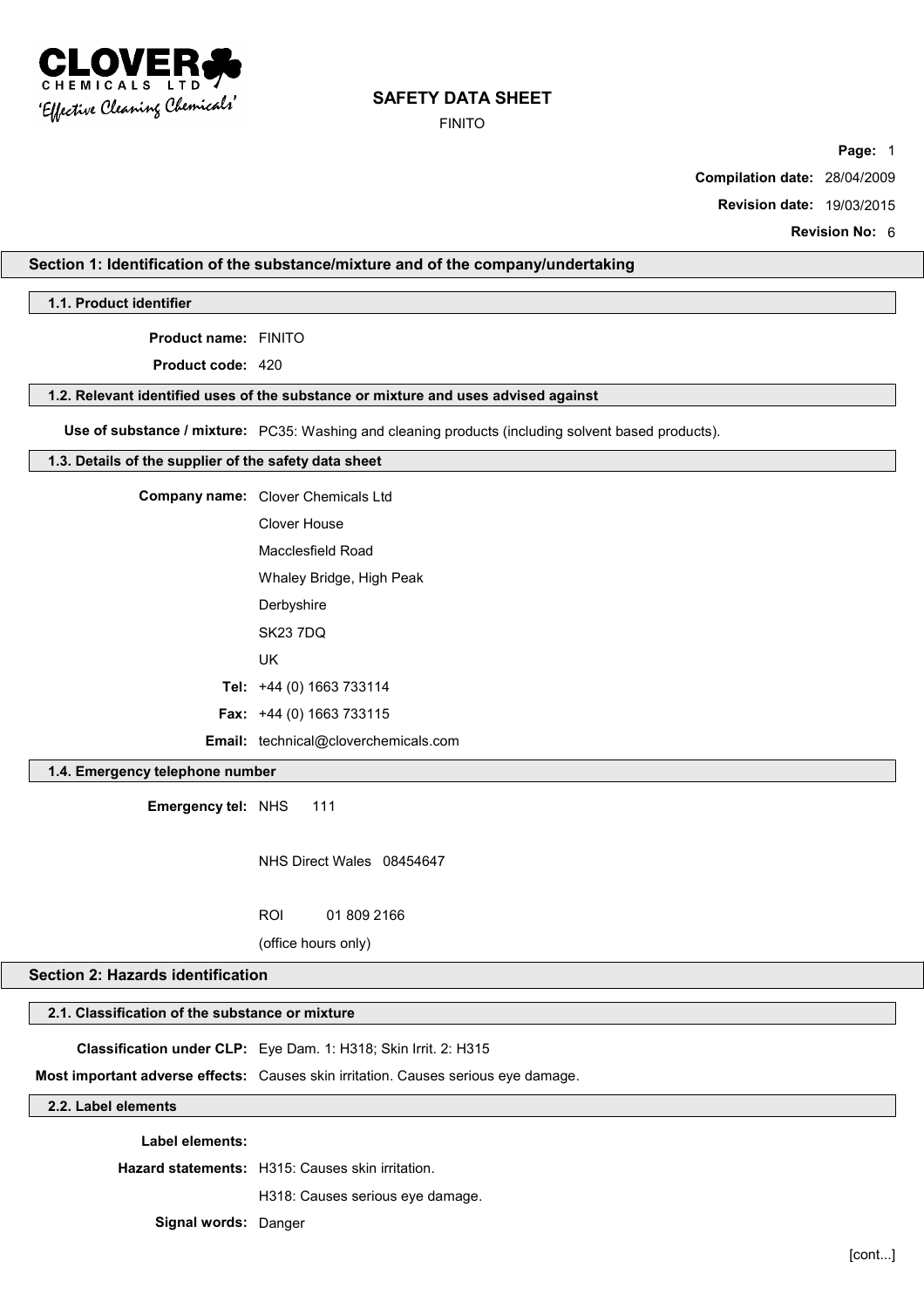

FINITO

**Page:** 1

**Compilation date:** 28/04/2009

**Revision date:** 19/03/2015

**Revision No:** 6

## **Section 1: Identification of the substance/mixture and of the company/undertaking**

**1.1. Product identifier**

**Product name:** FINITO

**Product code:** 420

#### **1.2. Relevant identified uses of the substance or mixture and uses advised against**

**Use of substance / mixture:** PC35: Washing and cleaning products (including solvent based products).

#### **1.3. Details of the supplier of the safety data sheet**

| <b>Company name:</b> Clover Chemicals Ltd   |
|---------------------------------------------|
| Clover House                                |
| Macclesfield Road                           |
| Whaley Bridge, High Peak                    |
| Derbyshire                                  |
| <b>SK23 7DO</b>                             |
| UK                                          |
| Tel: $+44$ (0) 1663 733114                  |
| <b>Fax:</b> $+44$ (0) 1663 733115           |
| <b>Email:</b> technical@cloverchemicals.com |

### **1.4. Emergency telephone number**

**Emergency tel:** NHS 111

NHS Direct Wales 08454647

ROI 01 809 2166

(office hours only)

### **Section 2: Hazards identification**

### **2.1. Classification of the substance or mixture**

**Classification under CLP:** Eye Dam. 1: H318; Skin Irrit. 2: H315

**Most important adverse effects:** Causes skin irritation. Causes serious eye damage.

### **2.2. Label elements**

**Label elements:**

**Hazard statements:** H315: Causes skin irritation.

H318: Causes serious eye damage.

**Signal words:** Danger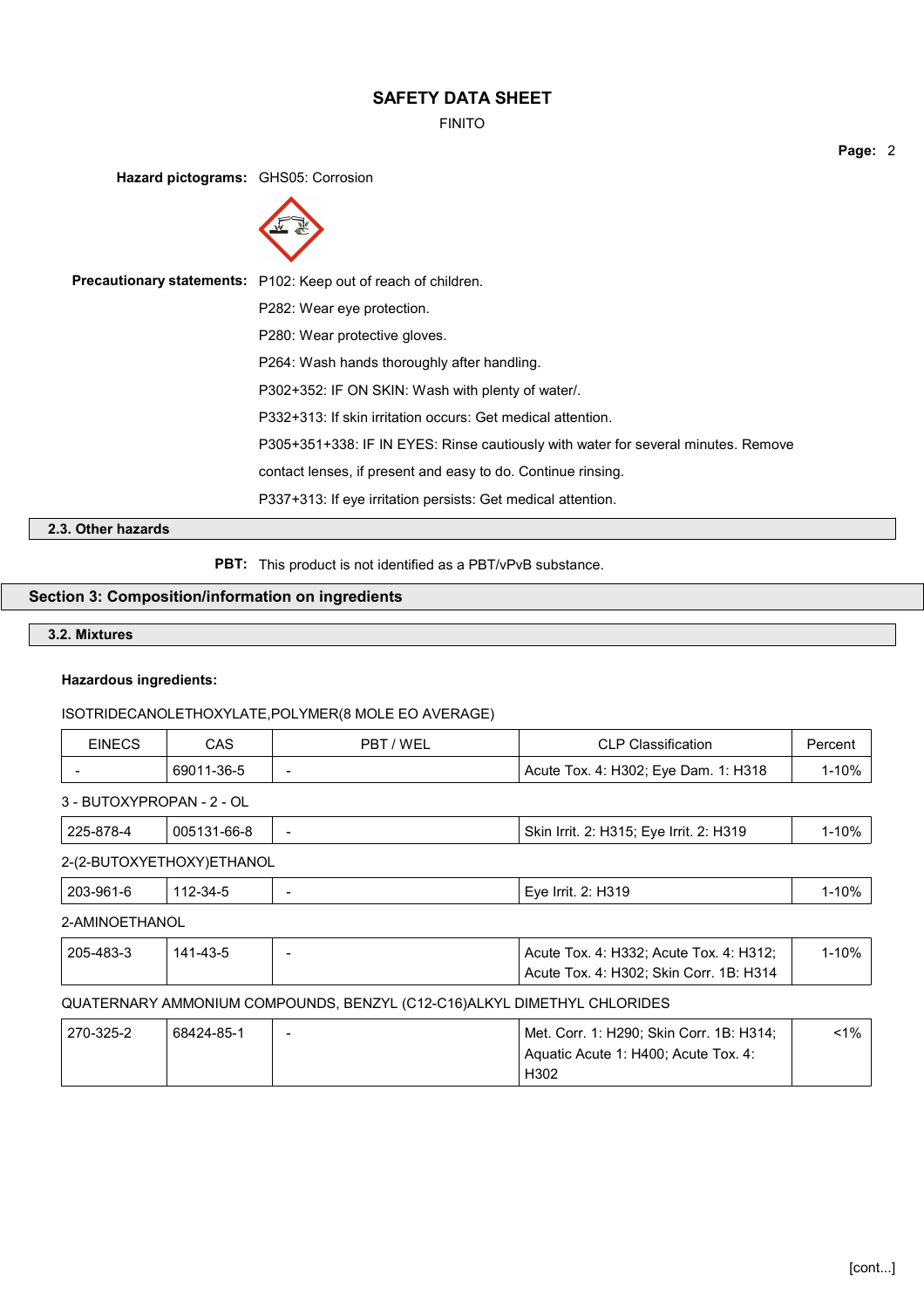FINITO

**Page:** 2

**Hazard pictograms:** GHS05: Corrosion



**Precautionary statements:** P102: Keep out of reach of children. P282: Wear eye protection. P280: Wear protective gloves. P264: Wash hands thoroughly after handling. P302+352: IF ON SKIN: Wash with plenty of water/. P332+313: If skin irritation occurs: Get medical attention. P305+351+338: IF IN EYES: Rinse cautiously with water for several minutes. Remove contact lenses, if present and easy to do. Continue rinsing. P337+313: If eye irritation persists: Get medical attention.

# **2.3. Other hazards**

**PBT:** This product is not identified as a PBT/vPvB substance.

## **Section 3: Composition/information on ingredients**

## **3.2. Mixtures**

#### **Hazardous ingredients:**

#### ISOTRIDECANOLETHOXYLATE,POLYMER(8 MOLE EO AVERAGE)

| <b>EINECS</b>             | CAS        | PBT/WEL                  | <b>CLP Classification</b>            | Percent   |
|---------------------------|------------|--------------------------|--------------------------------------|-----------|
|                           | 69011-36-5 | $\overline{\phantom{a}}$ | Acute Tox. 4: H302; Eye Dam. 1: H318 | $1 - 10%$ |
| 3 - BUTOXYPROPAN - 2 - OL |            |                          |                                      |           |

| 225-878-4                 | 005131-66-8 | $\overline{\phantom{0}}$ | Skin Irrit. 2: H315; Eye Irrit. 2: H319 | l-10% |
|---------------------------|-------------|--------------------------|-----------------------------------------|-------|
| 2-(2-BUTOXYETHOXY)ETHANOL |             |                          |                                         |       |

| 203-961-6 | <u>З4-</u><br>.<br>. | H <sub>319</sub><br>Eve<br>lrrit. | 0%ا |
|-----------|----------------------|-----------------------------------|-----|
|           |                      |                                   |     |

# 2-AMINOETHANOL

| 205-483-3 | 141-43-5 | Acute Tox. 4: H332; Acute Tox. 4: H312; |  |
|-----------|----------|-----------------------------------------|--|
|           |          | Acute Tox. 4: H302; Skin Corr. 1B: H314 |  |

# QUATERNARY AMMONIUM COMPOUNDS, BENZYL (C12-C16)ALKYL DIMETHYL CHLORIDES

| 270-325-2 | 68424-85-1 | $\overline{\phantom{a}}$ | Met. Corr. 1: H290: Skin Corr. 1B: H314:          | <1% ⊧ |
|-----------|------------|--------------------------|---------------------------------------------------|-------|
|           |            |                          | <sup>1</sup> Aquatic Acute 1: H400: Acute Tox. 4: |       |
|           |            |                          | H302                                              |       |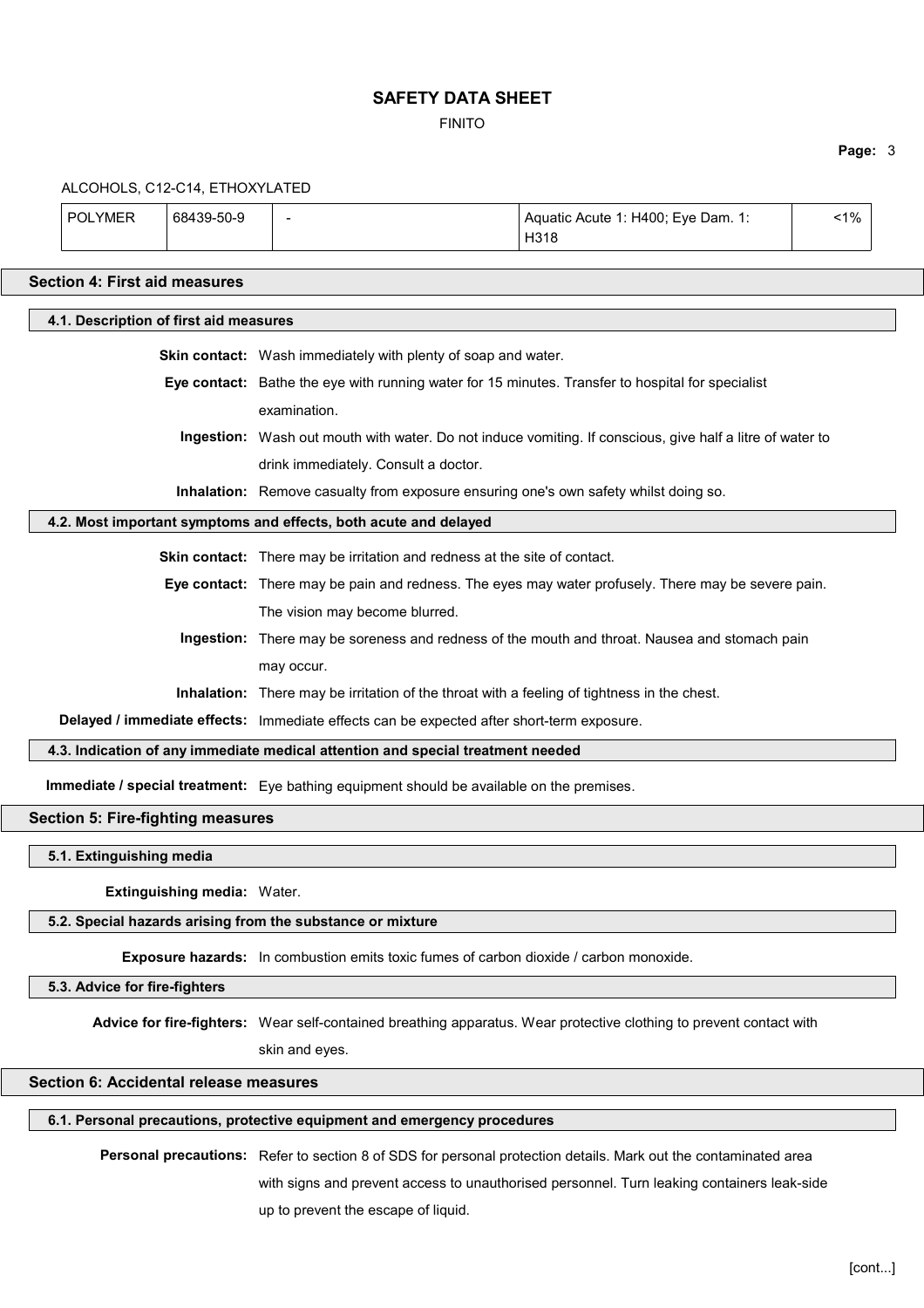FINITO

## **Page:** 3

| ALCOHOLS, C12-C14, ETHOXYLATED                                                  |                             |                                                                                           |  |                                                                                                                        |    |
|---------------------------------------------------------------------------------|-----------------------------|-------------------------------------------------------------------------------------------|--|------------------------------------------------------------------------------------------------------------------------|----|
| <b>POLYMER</b>                                                                  | 68439-50-9                  |                                                                                           |  | Aquatic Acute 1: H400; Eye Dam. 1:<br>H318                                                                             | 1% |
| <b>Section 4: First aid measures</b>                                            |                             |                                                                                           |  |                                                                                                                        |    |
| 4.1. Description of first aid measures                                          |                             |                                                                                           |  |                                                                                                                        |    |
|                                                                                 |                             | Skin contact: Wash immediately with plenty of soap and water.                             |  |                                                                                                                        |    |
|                                                                                 |                             |                                                                                           |  | Eye contact: Bathe the eye with running water for 15 minutes. Transfer to hospital for specialist                      |    |
|                                                                                 |                             | examination.                                                                              |  |                                                                                                                        |    |
|                                                                                 |                             |                                                                                           |  | Ingestion: Wash out mouth with water. Do not induce vomiting. If conscious, give half a litre of water to              |    |
|                                                                                 |                             | drink immediately. Consult a doctor.                                                      |  |                                                                                                                        |    |
|                                                                                 |                             |                                                                                           |  | Inhalation: Remove casualty from exposure ensuring one's own safety whilst doing so.                                   |    |
|                                                                                 |                             | 4.2. Most important symptoms and effects, both acute and delayed                          |  |                                                                                                                        |    |
|                                                                                 |                             | Skin contact: There may be irritation and redness at the site of contact.                 |  |                                                                                                                        |    |
|                                                                                 |                             |                                                                                           |  | Eye contact: There may be pain and redness. The eyes may water profusely. There may be severe pain.                    |    |
|                                                                                 |                             | The vision may become blurred.                                                            |  |                                                                                                                        |    |
|                                                                                 |                             |                                                                                           |  | Ingestion: There may be soreness and redness of the mouth and throat. Nausea and stomach pain                          |    |
|                                                                                 |                             | may occur.                                                                                |  |                                                                                                                        |    |
|                                                                                 |                             |                                                                                           |  | Inhalation: There may be irritation of the throat with a feeling of tightness in the chest.                            |    |
|                                                                                 |                             | Delayed / immediate effects: Immediate effects can be expected after short-term exposure. |  |                                                                                                                        |    |
| 4.3. Indication of any immediate medical attention and special treatment needed |                             |                                                                                           |  |                                                                                                                        |    |
|                                                                                 |                             | Immediate / special treatment: Eye bathing equipment should be available on the premises. |  |                                                                                                                        |    |
| <b>Section 5: Fire-fighting measures</b>                                        |                             |                                                                                           |  |                                                                                                                        |    |
| 5.1. Extinguishing media                                                        |                             |                                                                                           |  |                                                                                                                        |    |
|                                                                                 | Extinguishing media: Water. |                                                                                           |  |                                                                                                                        |    |
|                                                                                 |                             | 5.2. Special hazards arising from the substance or mixture                                |  |                                                                                                                        |    |
|                                                                                 |                             | Exposure hazards: In combustion emits toxic fumes of carbon dioxide / carbon monoxide.    |  |                                                                                                                        |    |
| 5.3. Advice for fire-fighters                                                   |                             |                                                                                           |  |                                                                                                                        |    |
|                                                                                 |                             |                                                                                           |  |                                                                                                                        |    |
|                                                                                 |                             |                                                                                           |  | Advice for fire-fighters: Wear self-contained breathing apparatus. Wear protective clothing to prevent contact with    |    |
|                                                                                 |                             | skin and eyes.                                                                            |  |                                                                                                                        |    |
| Section 6: Accidental release measures                                          |                             |                                                                                           |  |                                                                                                                        |    |
|                                                                                 |                             | 6.1. Personal precautions, protective equipment and emergency procedures                  |  |                                                                                                                        |    |
|                                                                                 |                             |                                                                                           |  | <b>Dorsonal procautions:</b> Peter to section 8 of SDS for personal protection details. Mark out the contaminated area |    |

**Personal precautions:** Refer to section 8 of SDS for personal protection details. Mark out the contaminated area with signs and prevent access to unauthorised personnel. Turn leaking containers leak-side up to prevent the escape of liquid.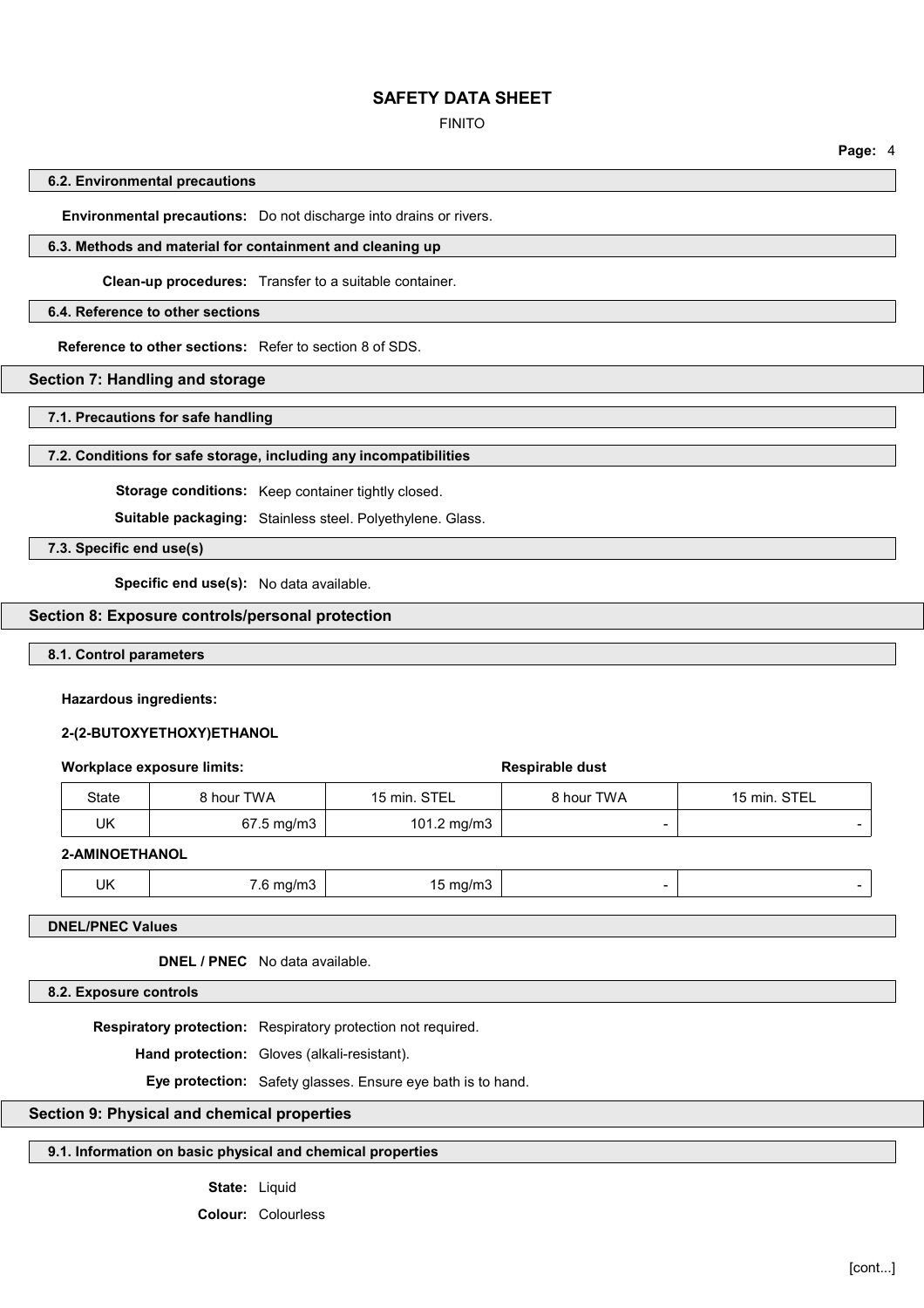#### FINITO

**Page:** 4

#### **6.2. Environmental precautions**

**Environmental precautions:** Do not discharge into drains or rivers.

#### **6.3. Methods and material for containment and cleaning up**

**Clean-up procedures:** Transfer to a suitable container.

#### **6.4. Reference to other sections**

**Reference to other sections:** Refer to section 8 of SDS.

### **Section 7: Handling and storage**

**7.1. Precautions for safe handling**

#### **7.2. Conditions for safe storage, including any incompatibilities**

**Storage conditions:** Keep container tightly closed.

**Suitable packaging:** Stainless steel. Polyethylene. Glass.

**7.3. Specific end use(s)**

**Specific end use(s):** No data available.

#### **Section 8: Exposure controls/personal protection**

**8.1. Control parameters**

#### **Hazardous ingredients:**

### **2-(2-BUTOXYETHOXY)ETHANOL**

#### **Workplace exposure limits: Respirable dust Respirable dust**

| State | 8 hour TWA              | 15 min. STEL | 8 hour TWA | 15 min. STEL |
|-------|-------------------------|--------------|------------|--------------|
| UK    | $67.5 \,\mathrm{mg/m3}$ | 101.2 mg/m3  | -          | -            |

#### **2-AMINOETHANOL**

| ΠK<br>----<br>.<br>na/m.<br>$\ddotsc$<br>$\cdots$<br>ີ<br>$\sim$ $\sim$<br>$\sim$<br>__<br>. . |  |
|------------------------------------------------------------------------------------------------|--|
|------------------------------------------------------------------------------------------------|--|

**DNEL/PNEC Values**

**DNEL / PNEC** No data available.

**8.2. Exposure controls**

**Respiratory protection:** Respiratory protection not required.

**Hand protection:** Gloves (alkali-resistant).

**Eye protection:** Safety glasses. Ensure eye bath is to hand.

## **Section 9: Physical and chemical properties**

## **9.1. Information on basic physical and chemical properties**

**State:** Liquid

**Colour:** Colourless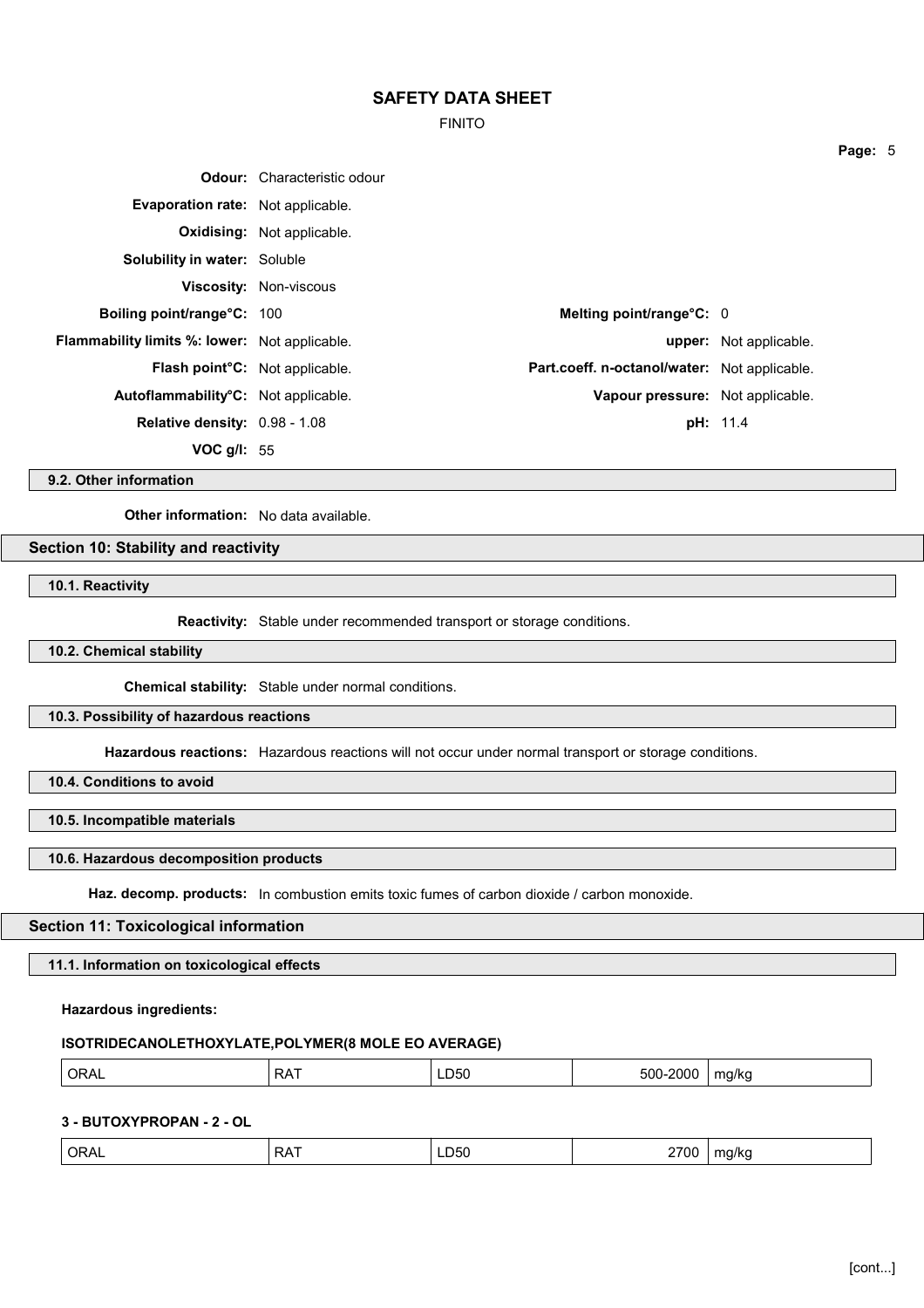FINITO

|                                                      | <b>Odour:</b> Characteristic odour |                                              |                               |
|------------------------------------------------------|------------------------------------|----------------------------------------------|-------------------------------|
| Evaporation rate: Not applicable.                    |                                    |                                              |                               |
|                                                      | <b>Oxidising:</b> Not applicable.  |                                              |                               |
| <b>Solubility in water: Soluble</b>                  |                                    |                                              |                               |
|                                                      | <b>Viscosity: Non-viscous</b>      |                                              |                               |
| Boiling point/range°C: 100                           |                                    | Melting point/range°C: 0                     |                               |
| <b>Flammability limits %: lower:</b> Not applicable. |                                    |                                              | <b>upper:</b> Not applicable. |
| <b>Flash point<sup>o</sup>C</b> : Not applicable.    |                                    | Part.coeff. n-octanol/water: Not applicable. |                               |
| Autoflammability <sup>o</sup> C: Not applicable.     |                                    | Vapour pressure: Not applicable.             |                               |
| Relative density: 0.98 - 1.08                        |                                    |                                              | <b>pH:</b> 11.4               |
| VOC $g/l: 55$                                        |                                    |                                              |                               |

**9.2. Other information**

**Other information:** No data available.

# **Section 10: Stability and reactivity**

**10.1. Reactivity**

**Reactivity:** Stable under recommended transport or storage conditions.

**10.2. Chemical stability**

**Chemical stability:** Stable under normal conditions.

## **10.3. Possibility of hazardous reactions**

**Hazardous reactions:** Hazardous reactions will not occur under normal transport or storage conditions.

**10.4. Conditions to avoid**

**10.5. Incompatible materials**

### **10.6. Hazardous decomposition products**

**Haz. decomp. products:** In combustion emits toxic fumes of carbon dioxide / carbon monoxide.

## **Section 11: Toxicological information**

**11.1. Information on toxicological effects**

### **Hazardous ingredients:**

### **ISOTRIDECANOLETHOXYLATE,POLYMER(8 MOLE EO AVERAGE)**

| LD50<br>500-<br><b>ORA</b><br>.<br>200C<br>ma/ko<br>۸ ب<br>∼<br>⊾ עו<br>.<br>$ -$<br>. . |  |
|------------------------------------------------------------------------------------------|--|
|------------------------------------------------------------------------------------------|--|

## **3 - BUTOXYPROPAN - 2 - OL**

| <b>ORAL</b><br><b>RAT</b><br>∟D50 | 2700<br>$\cdot$<br>ma/ka<br>$\sim$ |
|-----------------------------------|------------------------------------|
|-----------------------------------|------------------------------------|

**Page:** 5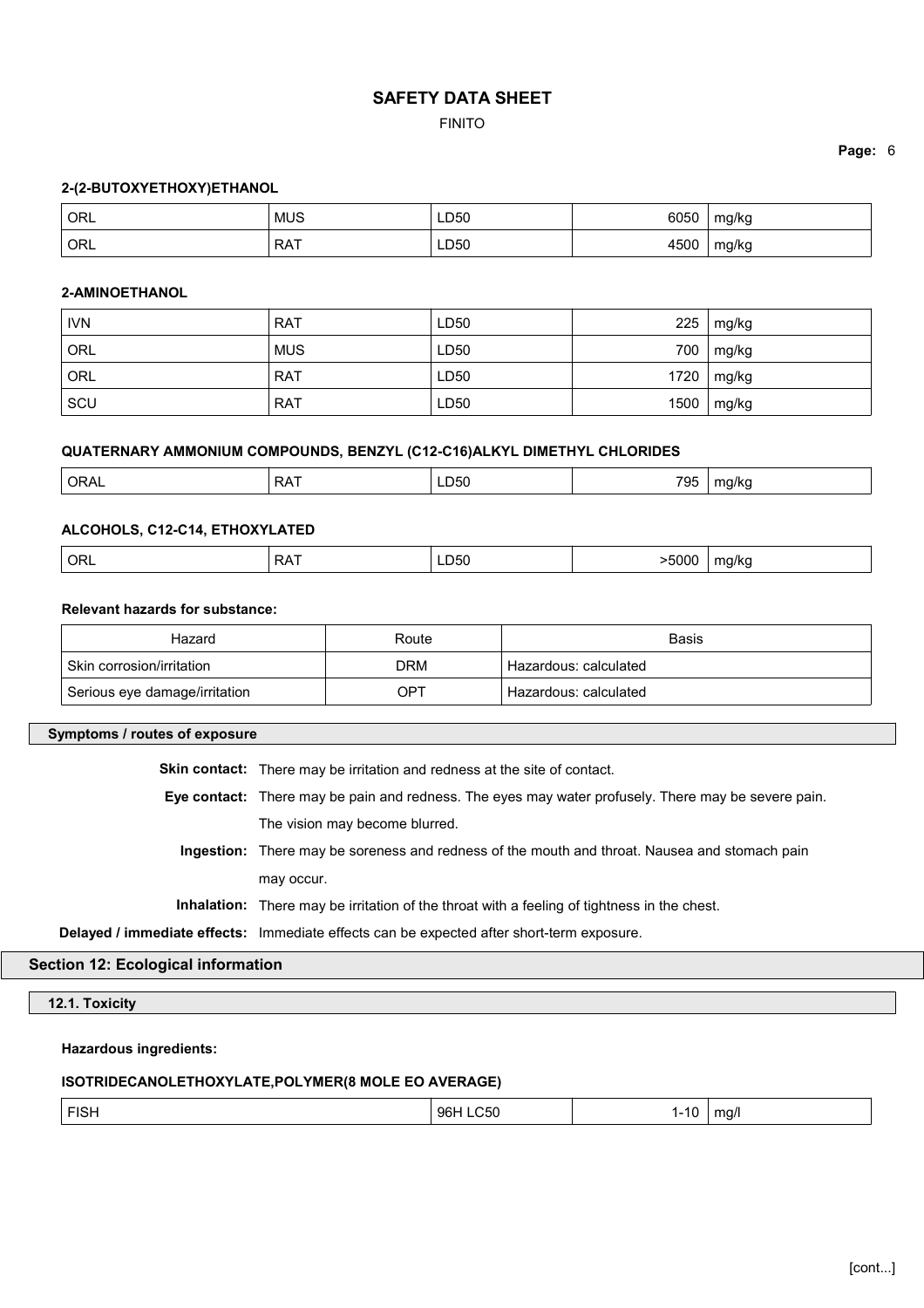## FINITO

### **Page:** 6

#### **2-(2-BUTOXYETHOXY)ETHANOL**

| <sup>1</sup> ORL | <b>MUS</b> | LD50 | 6050             | mg/kg      |
|------------------|------------|------|------------------|------------|
| <sup>'</sup> ORL | <b>RAT</b> | LD50 | 450 <sub>°</sub> | mg/kg<br>ີ |

#### **2-AMINOETHANOL**

| <b>IVN</b> | <b>RAT</b> | LD50 | 225  | mg/kg |
|------------|------------|------|------|-------|
| ORL        | <b>MUS</b> | LD50 | 700  | mg/kg |
| ORL        | <b>RAT</b> | LD50 | 1720 | mg/kg |
| SCU        | <b>RAT</b> | LD50 | 1500 | mg/kg |

## **QUATERNARY AMMONIUM COMPOUNDS, BENZYL (C12-C16)ALKYL DIMETHYL CHLORIDES**

| 795<br>LD50<br><b>ORAL</b><br>אי אי<br>ظ∼<br>$\mathbf{v}$<br>$ -$<br>____ |
|---------------------------------------------------------------------------|
|---------------------------------------------------------------------------|

#### **ALCOHOLS, C12-C14, ETHOXYLATED**

| >5000<br>$^{\prime}$ ORL<br>. .<br>⊃∧<br>LD50<br>ma/ka<br>$ -$<br>. |  |
|---------------------------------------------------------------------|--|
|---------------------------------------------------------------------|--|

# **Relevant hazards for substance:**

| Hazard                        | Route      | <b>Basis</b>          |
|-------------------------------|------------|-----------------------|
| Skin corrosion/irritation     | <b>DRM</b> | Hazardous: calculated |
| Serious eye damage/irritation | OPT        | Hazardous: calculated |

### **Symptoms / routes of exposure**

**Skin contact:** There may be irritation and redness at the site of contact.

- **Eye contact:** There may be pain and redness. The eyes may water profusely. There may be severe pain. The vision may become blurred.
	- **Ingestion:** There may be soreness and redness of the mouth and throat. Nausea and stomach pain may occur.
	- **Inhalation:** There may be irritation of the throat with a feeling of tightness in the chest.

**Delayed / immediate effects:** Immediate effects can be expected after short-term exposure.

# **Section 12: Ecological information**

**12.1. Toxicity**

# **Hazardous ingredients:**

# **ISOTRIDECANOLETHOXYLATE,POLYMER(8 MOLE EO AVERAGE)**

| <b>FIOL</b><br>FISH | 96 <b>F</b><br>550<br>---- | .<br>٬∪ | ma/l<br>ີ |
|---------------------|----------------------------|---------|-----------|
|                     |                            |         |           |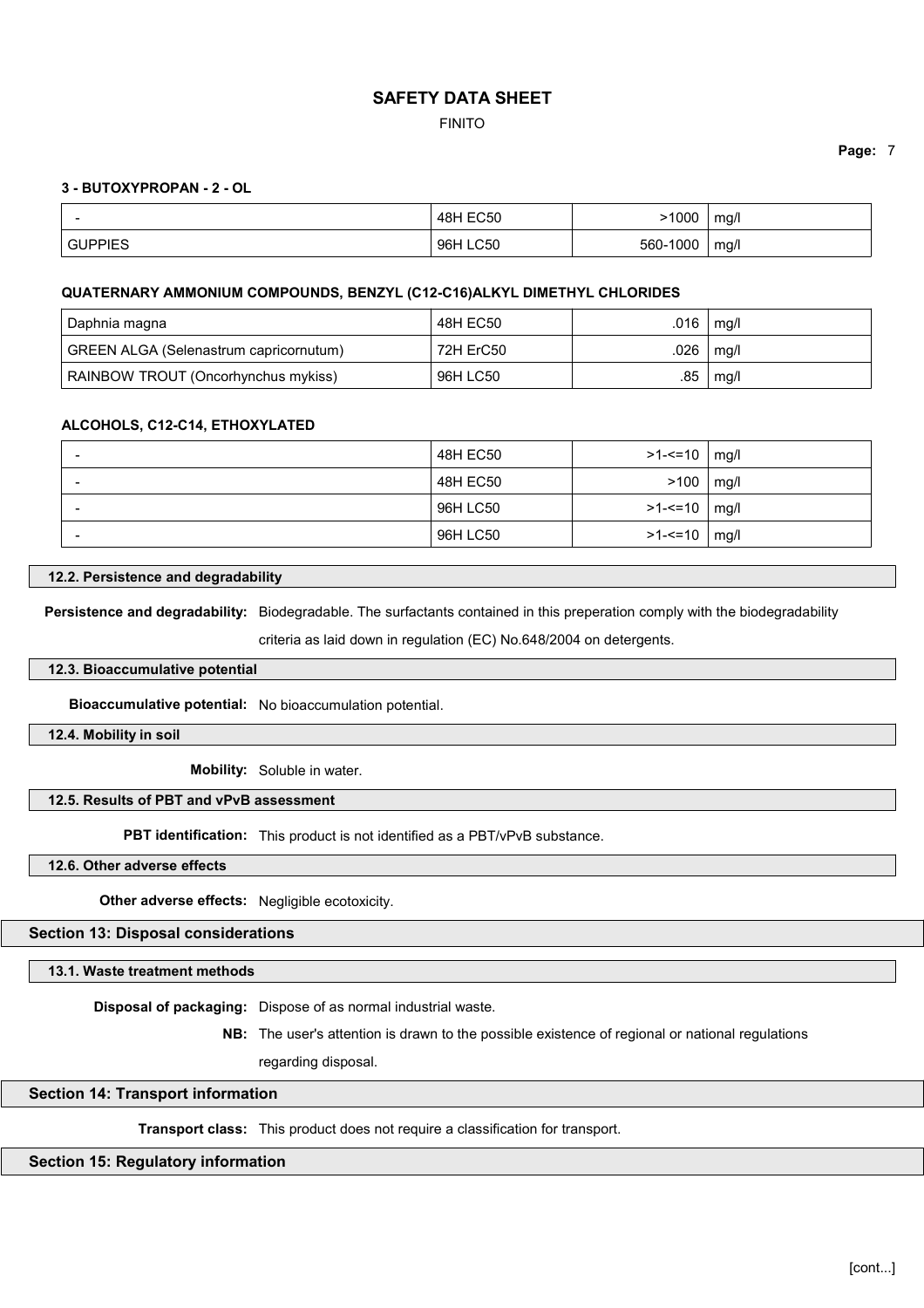FINITO

### **Page:** 7

#### **3 - BUTOXYPROPAN - 2 - OL**

|                | <b>48H EC50</b> | .1000           | mg/l |
|----------------|-----------------|-----------------|------|
| <b>GUPPIES</b> | 96H LC50        | $-1000$<br>560- | mq/l |

#### **QUATERNARY AMMONIUM COMPOUNDS, BENZYL (C12-C16)ALKYL DIMETHYL CHLORIDES**

| Daphnia magna                          | 48H EC50  | .016 | mg/l |
|----------------------------------------|-----------|------|------|
| GREEN ALGA (Selenastrum capricornutum) | 72H ErC50 | .026 | mg/l |
| RAINBOW TROUT (Oncorhynchus mykiss)    | 96H LC50  | .85  | mg/l |

#### **ALCOHOLS, C12-C14, ETHOXYLATED**

| $\overline{\phantom{a}}$ | 48H EC50 | $>1 - 10$      | mg/l |
|--------------------------|----------|----------------|------|
|                          | 48H EC50 | >100           | mg/l |
| -                        | 96H LC50 | >1-<=10   mg/l |      |
| $\overline{\phantom{0}}$ | 96H LC50 | $>1 - 10$ mg/l |      |

### **12.2. Persistence and degradability**

**Persistence and degradability:** Biodegradable. The surfactants contained in this preperation comply with the biodegradability

criteria as laid down in regulation (EC) No.648/2004 on detergents.

### **12.3. Bioaccumulative potential**

**Bioaccumulative potential:** No bioaccumulation potential.

**12.4. Mobility in soil**

**Mobility:** Soluble in water.

### **12.5. Results of PBT and vPvB assessment**

**PBT identification:** This product is not identified as a PBT/vPvB substance.

**12.6. Other adverse effects**

**Other adverse effects:** Negligible ecotoxicity.

## **Section 13: Disposal considerations**

**13.1. Waste treatment methods**

**Disposal of packaging:** Dispose of as normal industrial waste.

**NB:** The user's attention is drawn to the possible existence of regional or national regulations

regarding disposal.

#### **Section 14: Transport information**

**Transport class:** This product does not require a classification for transport.

### **Section 15: Regulatory information**